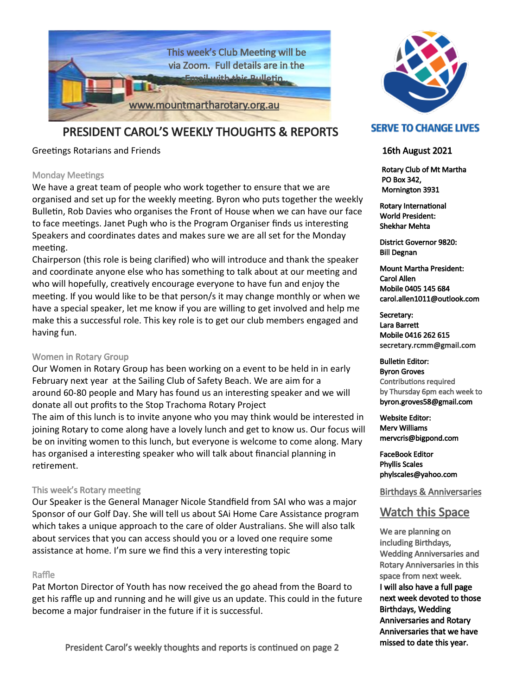

## PRESIDENT CAROL'S WEEKLY THOUGHTS & REPORTS

Greetings Rotarians and Friends

## Monday Meetings

We have a great team of people who work together to ensure that we are organised and set up for the weekly meeting. Byron who puts together the weekly Bulletin, Rob Davies who organises the Front of House when we can have our face to face meetings. Janet Pugh who is the Program Organiser finds us interesting Speakers and coordinates dates and makes sure we are all set for the Monday meeting.

Chairperson (this role is being clarified) who will introduce and thank the speaker and coordinate anyone else who has something to talk about at our meeting and who will hopefully, creatively encourage everyone to have fun and enjoy the meeting. If you would like to be that person/s it may change monthly or when we have a special speaker, let me know if you are willing to get involved and help me make this a successful role. This key role is to get our club members engaged and having fun.

## Women in Rotary Group

Our Women in Rotary Group has been working on a event to be held in in early February next year at the Sailing Club of Safety Beach. We are aim for a around 60-80 people and Mary has found us an interesting speaker and we will donate all out profits to the Stop Trachoma Rotary Project

The aim of this lunch is to invite anyone who you may think would be interested in joining Rotary to come along have a lovely lunch and get to know us. Our focus will be on inviting women to this lunch, but everyone is welcome to come along. Mary has organised a interesting speaker who will talk about financial planning in retirement.

## This week's Rotary meeting

Our Speaker is the General Manager Nicole Standfield from SAI who was a major Sponsor of our Golf Day. She will tell us about SAi Home Care Assistance program which takes a unique approach to the care of older Australians. She will also talk about services that you can access should you or a loved one require some assistance at home. I'm sure we find this a very interesting topic

## Raffle

Pat Morton Director of Youth has now received the go ahead from the Board to get his raffle up and running and he will give us an update. This could in the future become a major fundraiser in the future if it is successful.





## **SERVE TO CHANGE LIVES**

## 16th August 2021

 Rotary Club of Mt Martha PO Box 342, Mornington 3931

Rotary International World President: Shekhar Mehta

District Governor 9820: Bill Degnan

Mount Martha President: Carol Allen Mobile 0405 145 684 carol.allen1011@outlook.com

Secretary: Lara Barrett Mobile 0416 262 615 secretary.rcmm@gmail.com

Bulletin Editor: Byron Groves Contributions required by Thursday 6pm each week to byron.groves58@gmail.com

Website Editor: Merv Williams mervcris@bigpond.com

FaceBook Editor Phyllis Scales phylscales@yahoo.com

Birthdays & Anniversaries

## Watch this Space

We are planning on including Birthdays, Wedding Anniversaries and Rotary Anniversaries in this space from next week. I will also have a full page next week devoted to those Birthdays, Wedding Anniversaries and Rotary Anniversaries that we have missed to date this year.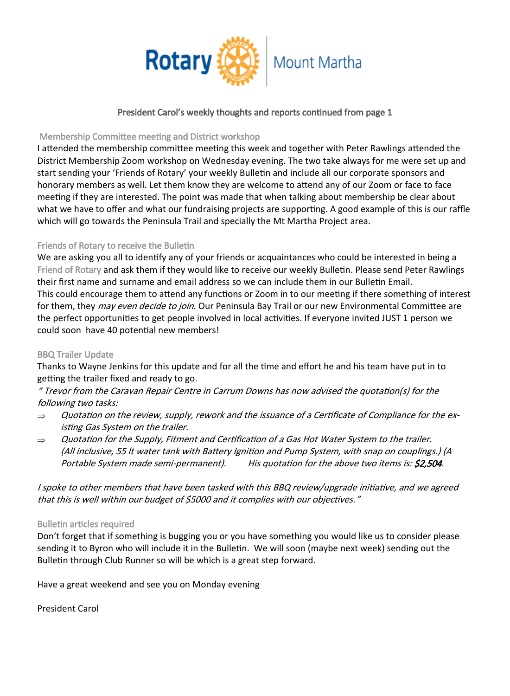

## President Carol's weekly thoughts and reports continued from page 1

## Membership Committee meeting and District workshop

I attended the membership committee meeting this week and together with Peter Rawlings attended the District Membership Zoom workshop on Wednesday evening. The two take always for me were set up and start sending your 'Friends of Rotary' your weekly Bulletin and include all our corporate sponsors and honorary members as well. Let them know they are welcome to attend any of our Zoom or face to face meeting if they are interested. The point was made that when talking about membership be clear about what we have to offer and what our fundraising projects are supporting. A good example of this is our raffle which will go towards the Peninsula Trail and specially the Mt Martha Project area.

## Friends of Rotary to receive the Bulletin

We are asking you all to identify any of your friends or acquaintances who could be interested in being a Friend of Rotary and ask them if they would like to receive our weekly Bulletin. Please send Peter Rawlings their first name and surname and email address so we can include them in our Bulletin Email. This could encourage them to attend any functions or Zoom in to our meeting if there something of interest for them, they *may even decide to join.* Our Peninsula Bay Trail or our new Environmental Committee are the perfect opportunities to get people involved in local activities. If everyone invited JUST 1 person we could soon have 40 potential new members!

## BBQ Trailer Update

Thanks to Wayne Jenkins for this update and for all the time and effort he and his team have put in to getting the trailer fixed and ready to go.

" Trevor from the Caravan Repair Centre in Carrum Downs has now advised the quotation(s) for the following two tasks:

- $\Rightarrow$ Quotation on the review, supply, rework and the issuance of a Certificate of Compliance for the existing Gas System on the trailer.
- Quotation for the Supply, Fitment and Certification of a Gas Hot Water System to the trailer.  $\Rightarrow$ (All inclusive, 55 lt water tank with Battery Ignition and Pump System, with snap on couplings.) (A Portable System made semi-permanent). His quotation for the above two items is:  $\sharp$ 2,504.

I spoke to other members that have been tasked with this BBQ review/upgrade initiative, and we agreed that this is well within our budget of \$5000 and it complies with our objectives."

## Bulletin articles required

Don't forget that if something is bugging you or you have something you would like us to consider please sending it to Byron who will include it in the Bulletin. We will soon (maybe next week) sending out the Bulletin through Club Runner so will be which is a great step forward.

Have a great weekend and see you on Monday evening

President Carol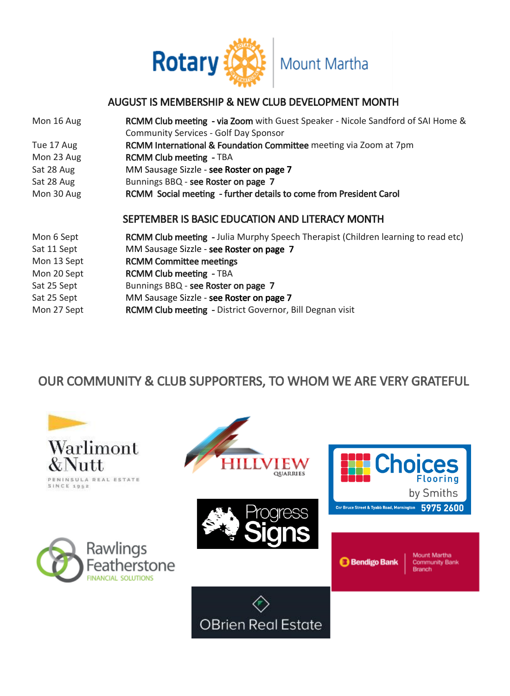

## AUGUST IS MEMBERSHIP & NEW CLUB DEVELOPMENT MONTH

| Mon 16 Aug  | RCMM Club meeting - via Zoom with Guest Speaker - Nicole Sandford of SAI Home &          |
|-------------|------------------------------------------------------------------------------------------|
|             | <b>Community Services - Golf Day Sponsor</b>                                             |
| Tue 17 Aug  | RCMM International & Foundation Committee meeting via Zoom at 7pm                        |
| Mon 23 Aug  | <b>RCMM Club meeting - TBA</b>                                                           |
| Sat 28 Aug  | MM Sausage Sizzle - see Roster on page 7                                                 |
| Sat 28 Aug  | Bunnings BBQ - see Roster on page 7                                                      |
| Mon 30 Aug  | RCMM Social meeting - further details to come from President Carol                       |
|             |                                                                                          |
|             | SEPTEMBER IS BASIC EDUCATION AND LITERACY MONTH                                          |
| Mon 6 Sept  | <b>RCMM Club meeting</b> - Julia Murphy Speech Therapist (Children learning to read etc) |
| Sat 11 Sept | MM Sausage Sizzle - see Roster on page 7                                                 |
| Mon 13 Sept | <b>RCMM Committee meetings</b>                                                           |
| Mon 20 Sept | <b>RCMM Club meeting - TBA</b>                                                           |
| Sat 25 Sept | Bunnings BBQ - see Roster on page 7                                                      |
| Sat 25 Sept | MM Sausage Sizzle - see Roster on page 7                                                 |
| Mon 27 Sept | <b>RCMM Club meeting - District Governor, Bill Degnan visit</b>                          |

# OUR COMMUNITY & CLUB SUPPORTERS, TO WHOM WE ARE VERY GRATEFUL

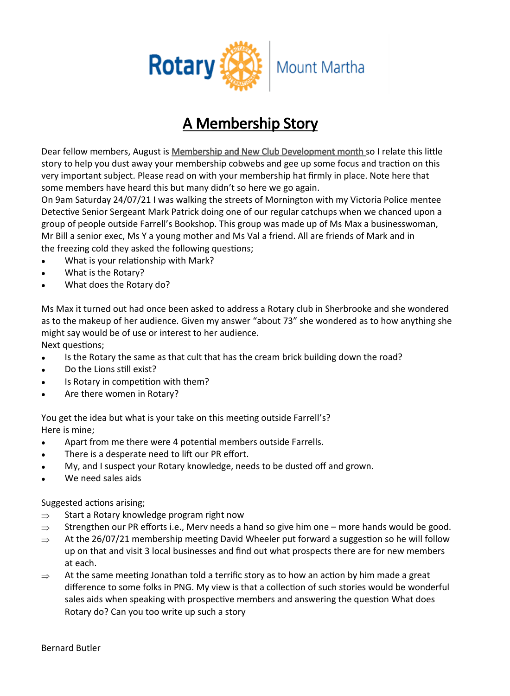

# A Membership Story

Dear fellow members, August is Membership and New Club Development month so I relate this little story to help you dust away your membership cobwebs and gee up some focus and traction on this very important subject. Please read on with your membership hat firmly in place. Note here that some members have heard this but many didn't so here we go again.

On 9am Saturday 24/07/21 I was walking the streets of Mornington with my Victoria Police mentee Detective Senior Sergeant Mark Patrick doing one of our regular catchups when we chanced upon a group of people outside Farrell's Bookshop. This group was made up of Ms Max a businesswoman, Mr Bill a senior exec, Ms Y a young mother and Ms Val a friend. All are friends of Mark and in the freezing cold they asked the following questions;

- What is your relationship with Mark?  $\bullet$
- What is the Rotary?
- What does the Rotary do?

Ms Max it turned out had once been asked to address a Rotary club in Sherbrooke and she wondered as to the makeup of her audience. Given my answer "about 73" she wondered as to how anything she might say would be of use or interest to her audience.

Next questions;

- Is the Rotary the same as that cult that has the cream brick building down the road?  $\bullet$
- Do the Lions still exist?  $\bullet$
- Is Rotary in competition with them?
- Are there women in Rotary?  $\bullet$

You get the idea but what is your take on this meeting outside Farrell's? Here is mine;

- Apart from me there were 4 potential members outside Farrells.  $\bullet$
- There is a desperate need to lift our PR effort.
- My, and I suspect your Rotary knowledge, needs to be dusted off and grown.
- We need sales aids

Suggested actions arising;

- Start a Rotary knowledge program right now  $\Rightarrow$
- $\rightarrow$ Strengthen our PR efforts i.e., Merv needs a hand so give him one – more hands would be good.
- At the 26/07/21 membership meeting David Wheeler put forward a suggestion so he will follow  $\Rightarrow$ up on that and visit 3 local businesses and find out what prospects there are for new members at each.
- At the same meeting Jonathan told a terrific story as to how an action by him made a great  $\Rightarrow$ difference to some folks in PNG. My view is that a collection of such stories would be wonderful sales aids when speaking with prospective members and answering the question What does Rotary do? Can you too write up such a story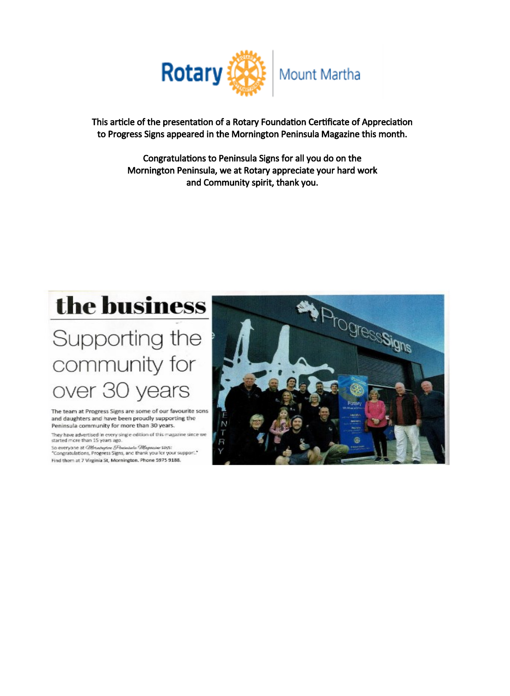

This article of the presentation of a Rotary Foundation Certificate of Appreciation to Progress Signs appeared in the Mornington Peninsula Magazine this month.

> Congratulations to Peninsula Signs for all you do on the Mornington Peninsula, we at Rotary appreciate your hard work and Community spirit, thank you.



# Supporting the community for over 30 years

The team at Progress Signs are some of our favourite sons and daughters and have been proudly supporting the Peninsula community for more than 30 years.

They have advertised in every single edition of this magazine since we started more than 15 years ago.

So everyone at Offendigitive (Photodoric Offendigite Says:<br>"Congratulations, Progress Signs, and thank you for your support." Find them at 7 Virginia St, Mornington. Phone 5975 9188.

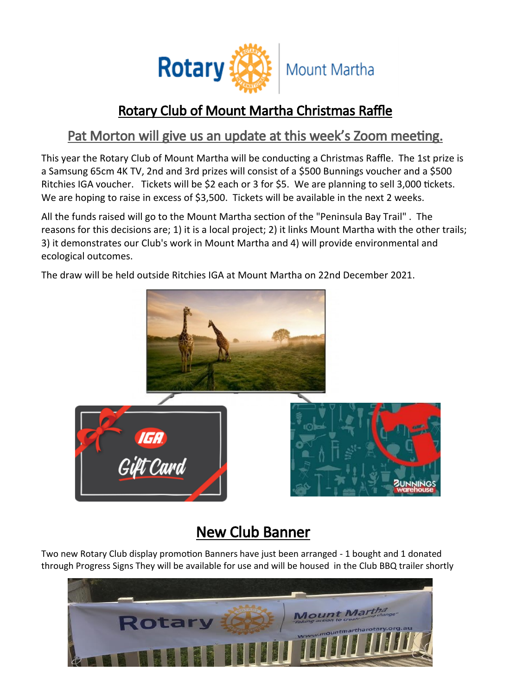

# Rotary Club of Mount Martha Christmas Raffle

# Pat Morton will give us an update at this week's Zoom meeting.

This year the Rotary Club of Mount Martha will be conducting a Christmas Raffle. The 1st prize is a Samsung 65cm 4K TV, 2nd and 3rd prizes will consist of a \$500 Bunnings voucher and a \$500 Ritchies IGA voucher. Tickets will be \$2 each or 3 for \$5. We are planning to sell 3,000 tickets. We are hoping to raise in excess of \$3,500. Tickets will be available in the next 2 weeks.

All the funds raised will go to the Mount Martha section of the "Peninsula Bay Trail" . The reasons for this decisions are; 1) it is a local project; 2) it links Mount Martha with the other trails; 3) it demonstrates our Club's work in Mount Martha and 4) will provide environmental and ecological outcomes.

The draw will be held outside Ritchies IGA at Mount Martha on 22nd December 2021.



# New Club Banner

Two new Rotary Club display promotion Banners have just been arranged - 1 bought and 1 donated through Progress Signs They will be available for use and will be housed in the Club BBQ trailer shortly